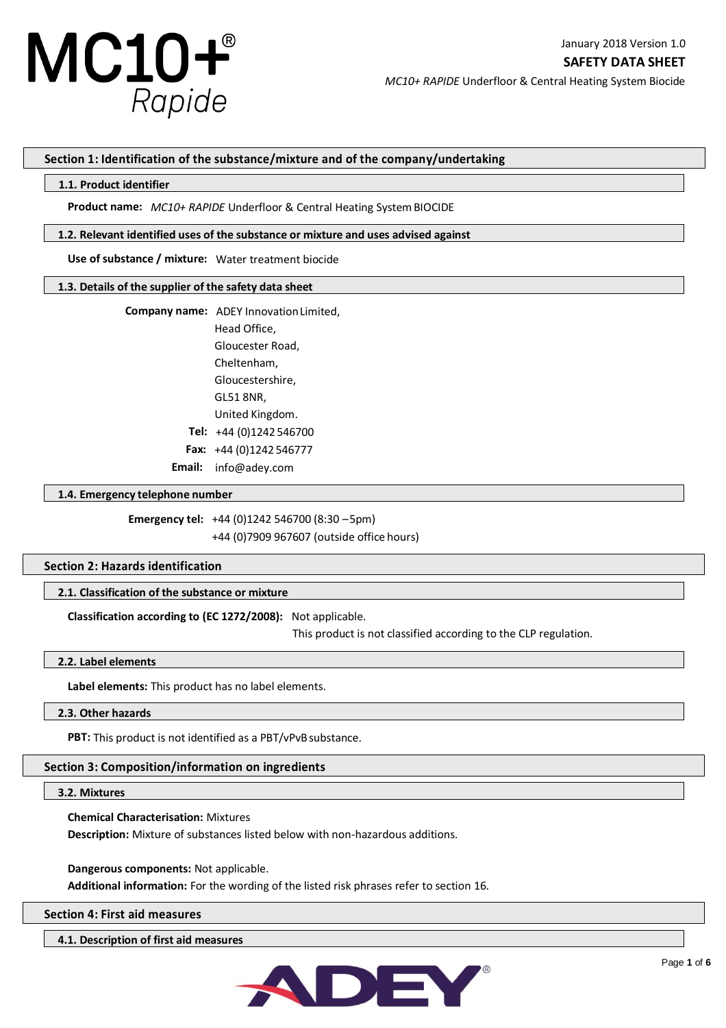

## **Section 1: Identification of the substance/mixture and of the company/undertaking**

#### **1.1. Product identifier**

**Product name:** *MC10+ RAPIDE* Underfloor & Central Heating System BIOCIDE

#### **1.2. Relevant identified uses of the substance or mixture and uses advised against**

**Use of substance / mixture:** Water treatment biocide

#### **1.3. Details of the supplier of the safety data sheet**

**Company name:** ADEY Innovation Limited,

Head Office, Gloucester Road, Cheltenham, Gloucestershire, GL51 8NR, United Kingdom. **Tel:** +44 (0)1242 546700  **Fax:** +44 (0)1242 546777 **Email:** info@adey.com

#### **1.4. Emergency telephone number**

**Emergency tel:** +44 (0)1242 546700 (8:30 –5pm)

+44 (0)7909 967607 (outside office hours)

## **Section 2: Hazards identification**

## **2.1. Classification of the substance or mixture**

**Classification according to (EC 1272/2008):** Not applicable.

This product is not classified according to the CLP regulation.

## **2.2. Label elements**

**Label elements:** This product has no label elements.

# **2.3. Other hazards**

PBT: This product is not identified as a PBT/vPvB substance.

## **Section 3: Composition/information on ingredients**

### **3.2. Mixtures**

**Chemical Characterisation:** Mixtures

**Description:** Mixture of substances listed below with non-hazardous additions.

**Dangerous components:** Not applicable.

**Additional information:** For the wording of the listed risk phrases refer to section 16.

### **Section 4: First aid measures**

**4.1. Description of first aid measures**

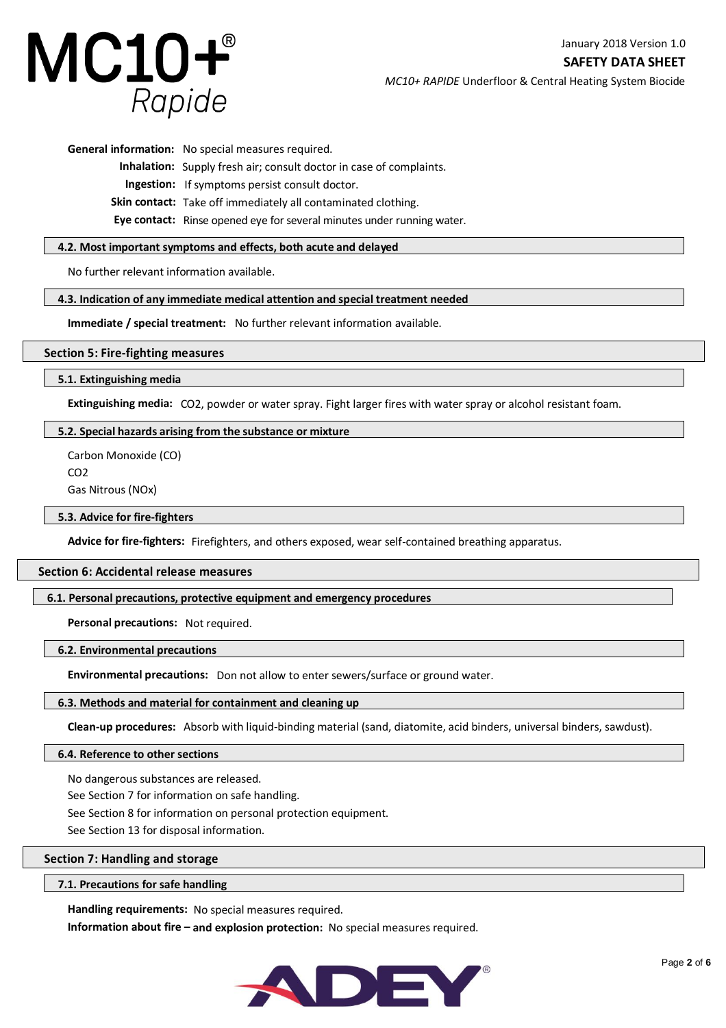

**SAFETY DATA SHEET**

*MC10+ RAPIDE* Underfloor & Central Heating System Biocide

**General information:** No special measures required.

**Inhalation:** Supply fresh air; consult doctor in case of complaints.

 **Ingestion:** If symptoms persist consult doctor.

**Skin contact:** Take off immediately all contaminated clothing.

**Eye contact:** Rinse opened eye for several minutes under running water.

# **4.2. Most important symptoms and effects, both acute and delayed**

No further relevant information available.

# **4.3. Indication of any immediate medical attention and special treatment needed**

**Immediate / special treatment:** No further relevant information available.

# **Section 5: Fire-fighting measures**

**5.1. Extinguishing media**

**Extinguishing media:** CO2, powder or water spray. Fight larger fires with water spray or alcohol resistant foam.

# **5.2. Special hazards arising from the substance or mixture**

Carbon Monoxide (CO) CO2 Gas Nitrous (NOx)

# **5.3. Advice for fire-fighters**

**Advice for fire-fighters:** Firefighters, and others exposed, wear self-contained breathing apparatus.

# **Section 6: Accidental release measures**

# **6.1. Personal precautions, protective equipment and emergency procedures**

**Personal precautions:** Not required.

# **6.2. Environmental precautions**

**Environmental precautions:** Don not allow to enter sewers/surface or ground water.

# **6.3. Methods and material for containment and cleaning up**

**Clean-up procedures:** Absorb with liquid-binding material (sand, diatomite, acid binders, universal binders, sawdust).

# **6.4. Reference to other sections**

No dangerous substances are released.

See Section 7 for information on safe handling.

See Section 8 for information on personal protection equipment.

See Section 13 for disposal information.

# **Section 7: Handling and storage**

# **7.1. Precautions for safe handling**

**Handling requirements:** No special measures required.

**Information about fire - and explosion protection:** No special measures required.

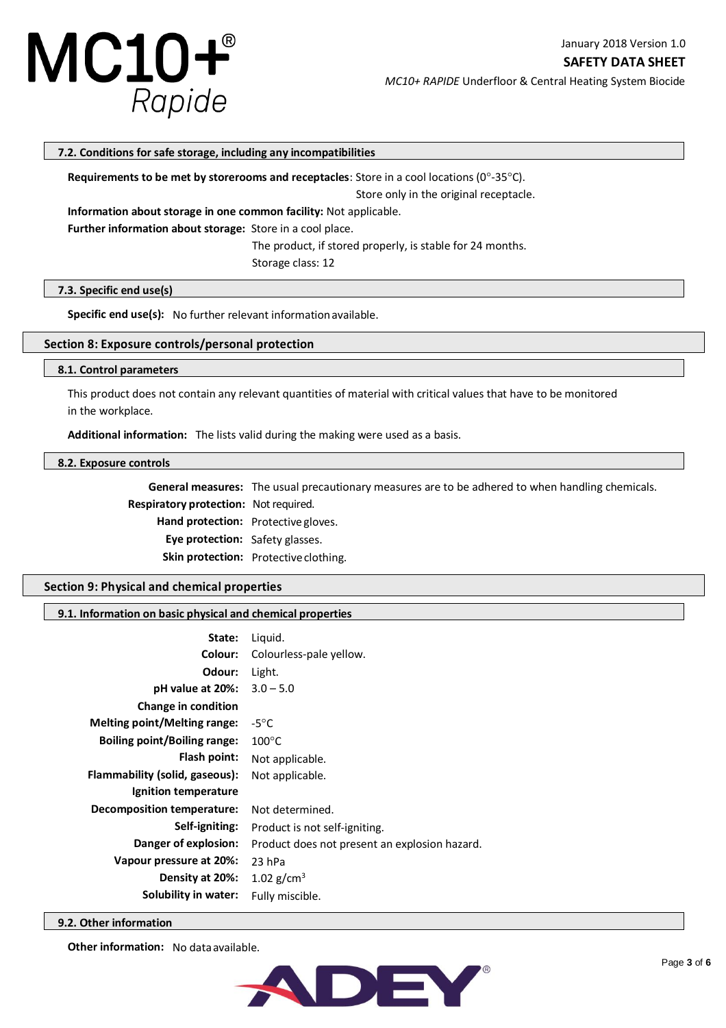

**SAFETY DATA SHEET**

*MC10+ RAPIDE* Underfloor & Central Heating System Biocide

# **7.2. Conditions for safe storage, including any incompatibilities**

**Requirements to be met by storerooms and receptacles**: Store in a cool locations (0°-35°C).

Store only in the original receptacle.

**Information about storage in one common facility:** Not applicable.

**Further information about storage:** Store in a cool place.

The product, if stored properly, is stable for 24 months.

Storage class: 12

# **7.3. Specific end use(s)**

**Specific end use(s):** No further relevant information available.

# **Section 8: Exposure controls/personal protection**

# **8.1. Control parameters**

This product does not contain any relevant quantities of material with critical values that have to be monitored in the workplace.

**Additional information:** The lists valid during the making were used as a basis.

#### **8.2. Exposure controls**

**General measures:** The usual precautionary measures are to be adhered to when handling chemicals.

 **Respiratory protection:** Not required.

**Hand protection:** Protective gloves.

**Eye protection:** Safety glasses.

**Skin protection:** Protective clothing.

# **Section 9: Physical and chemical properties**

### **9.1. Information on basic physical and chemical properties**

| State:                              | Liquid.                                       |
|-------------------------------------|-----------------------------------------------|
| Colour:                             | Colourless-pale yellow.                       |
| Odour:                              | Light.                                        |
| pH value at 20%:                    | $3.0 - 5.0$                                   |
| <b>Change in condition</b>          |                                               |
| Melting point/Melting range:        | $-5^{\circ}$ C                                |
| <b>Boiling point/Boiling range:</b> | $100^{\circ}$ C                               |
| Flash point:                        | Not applicable.                               |
| Flammability (solid, gaseous):      | Not applicable.                               |
| Ignition temperature                |                                               |
| <b>Decomposition temperature:</b>   | Not determined.                               |
| Self-igniting:                      | Product is not self-igniting.                 |
| Danger of explosion:                | Product does not present an explosion hazard. |
| Vapour pressure at 20%:             | 23 hPa                                        |
| Density at 20%:                     | 1.02 $g/cm^{3}$                               |
| Solubility in water:                | Fully miscible.                               |

### **9.2. Other information**

**Other information:** No data available.

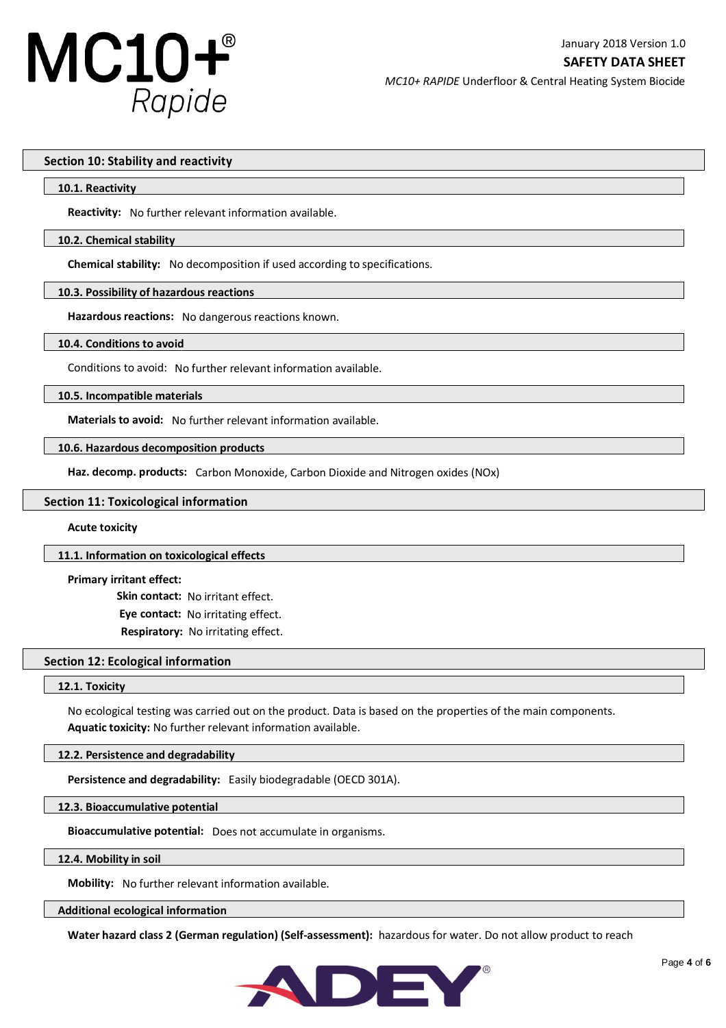

### **Section 10: Stability and reactivity**

#### **10.1. Reactivity**

**Reactivity:** No further relevant information available.

### **10.2. Chemical stability**

**Chemical stability:** No decomposition if used according to specifications.

### **10.3. Possibility of hazardous reactions**

**Hazardous reactions:** No dangerous reactions known.

#### **10.4. Conditions to avoid**

Conditions to avoid: No further relevant information available.

**10.5. Incompatible materials**

**Materials to avoid:** No further relevant information available.

### **10.6. Hazardous decomposition products**

**Haz. decomp. products:** Carbon Monoxide, Carbon Dioxide and Nitrogen oxides (NOx)

#### **Section 11: Toxicological information**

#### **Acute toxicity**

#### **11.1. Information on toxicological effects**

### **Primary irritant effect:**

 **Skin contact:** No irritant effect. **Eye contact:** No irritating effect.  **Respiratory:** No irritating effect.

## **Section 12: Ecological information**

#### **12.1. Toxicity**

No ecological testing was carried out on the product. Data is based on the properties of the main components. **Aquatic toxicity:** No further relevant information available.

## **12.2. Persistence and degradability**

**Persistence and degradability:** Easily biodegradable (OECD 301A).

**12.3. Bioaccumulative potential**

**Bioaccumulative potential:** Does not accumulate in organisms.

### **12.4. Mobility in soil**

**Mobility:** No further relevant information available.

#### **Additional ecological information**

**Water hazard class 2 (German regulation) (Self-assessment):** hazardous for water. Do not allow product to reach

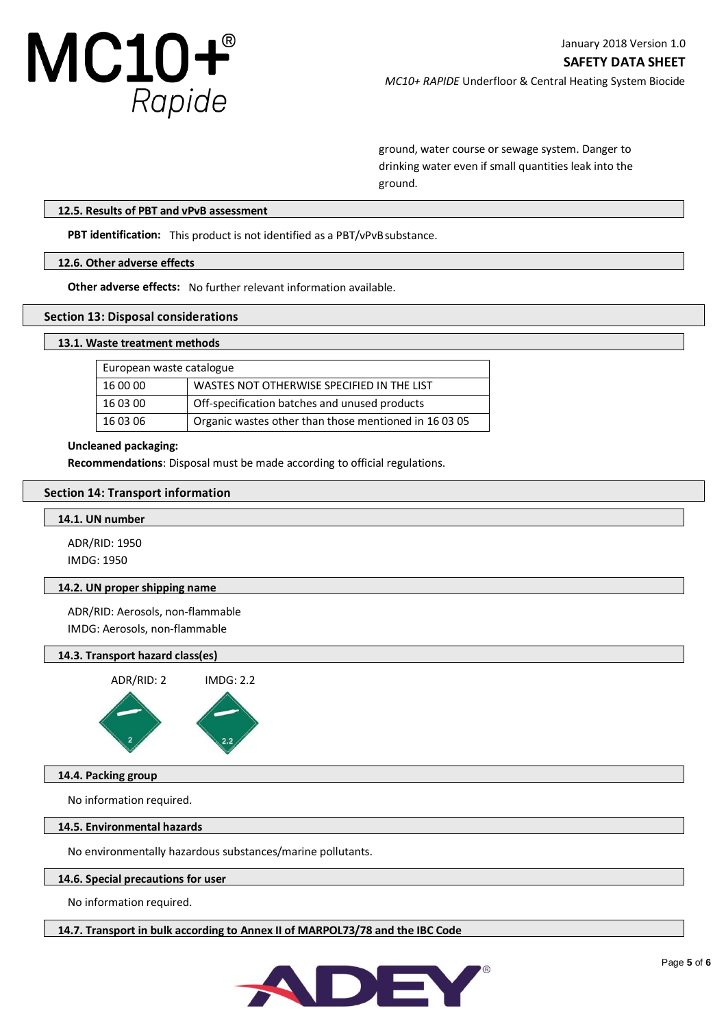

ground, water course or sewage system. Danger to drinking water even if small quantities leak into the ground.

## **12.5. Results of PBT and vPvB assessment**

**PBT identification:** This product is not identified as a PBT/vPvBsubstance.

# **12.6. Other adverse effects**

**Other adverse effects:** No further relevant information available.

### **Section 13: Disposal considerations**

### **13.1. Waste treatment methods**

| European waste catalogue |                                                       |
|--------------------------|-------------------------------------------------------|
| 16 00 00                 | WASTES NOT OTHERWISE SPECIFIED IN THE LIST            |
| 16 03 00                 | Off-specification batches and unused products         |
| 16 03 06                 | Organic wastes other than those mentioned in 16 03 05 |

#### **Uncleaned packaging:**

**Recommendations**: Disposal must be made according to official regulations.

### **Section 14: Transport information**

## **14.1. UN number**

ADR/RID: 1950 IMDG: 1950

## **14.2. UN proper shipping name**

ADR/RID: Aerosols, non-flammable IMDG: Aerosols, non-flammable

## **14.3. Transport hazard class(es)**



# **14.4. Packing group**

No information required.

## **14.5. Environmental hazards**

No environmentally hazardous substances/marine pollutants.

### **14.6. Special precautions for user**

No information required.

**14.7. Transport in bulk according to Annex II of MARPOL73/78 and the IBC Code**